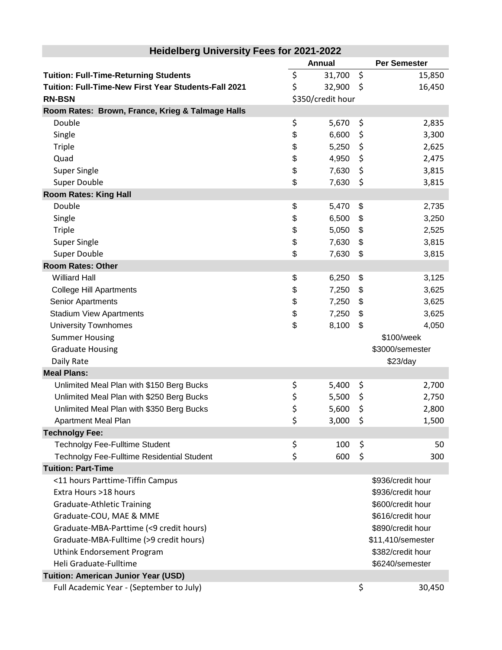| <b>Heidelberg University Fees for 2021-2022</b>      |    |                   |         |                     |
|------------------------------------------------------|----|-------------------|---------|---------------------|
|                                                      |    | Annual            |         | <b>Per Semester</b> |
| <b>Tuition: Full-Time-Returning Students</b>         | \$ | 31,700            | $\zeta$ | 15,850              |
| Tuition: Full-Time-New First Year Students-Fall 2021 | \$ | 32,900            | \$      | 16,450              |
| <b>RN-BSN</b>                                        |    | \$350/credit hour |         |                     |
| Room Rates: Brown, France, Krieg & Talmage Halls     |    |                   |         |                     |
| Double                                               | \$ | 5,670             | \$      | 2,835               |
| Single                                               | \$ | 6,600             | \$      | 3,300               |
| <b>Triple</b>                                        | \$ | 5,250             | \$      | 2,625               |
| Quad                                                 | \$ | 4,950             | \$      | 2,475               |
| <b>Super Single</b>                                  | \$ | 7,630             | \$      | 3,815               |
| Super Double                                         | \$ | 7,630             | \$      | 3,815               |
| <b>Room Rates: King Hall</b>                         |    |                   |         |                     |
| Double                                               | \$ | 5,470             | \$      | 2,735               |
| Single                                               | \$ | 6,500             | \$      | 3,250               |
| <b>Triple</b>                                        | \$ | 5,050             | \$      | 2,525               |
| <b>Super Single</b>                                  | \$ | 7,630             | \$      | 3,815               |
| <b>Super Double</b>                                  | \$ | 7,630             | \$      | 3,815               |
| <b>Room Rates: Other</b>                             |    |                   |         |                     |
| <b>Williard Hall</b>                                 | \$ | 6,250             | \$      | 3,125               |
| <b>College Hill Apartments</b>                       | \$ | 7,250             | \$      | 3,625               |
| Senior Apartments                                    | \$ | 7,250             | \$      | 3,625               |
| <b>Stadium View Apartments</b>                       | \$ | 7,250             | \$      | 3,625               |
| <b>University Townhomes</b>                          | \$ | 8,100             | \$      | 4,050               |
| <b>Summer Housing</b>                                |    |                   |         | \$100/week          |
| <b>Graduate Housing</b>                              |    |                   |         | \$3000/semester     |
| Daily Rate                                           |    |                   |         | \$23/day            |
| <b>Meal Plans:</b>                                   |    |                   |         |                     |
| Unlimited Meal Plan with \$150 Berg Bucks            | \$ | 5,400             | \$      | 2,700               |
| Unlimited Meal Plan with \$250 Berg Bucks            | \$ | 5,500             | \$      | 2,750               |
| Unlimited Meal Plan with \$350 Berg Bucks            | \$ | 5,600             | \$      | 2,800               |
| Apartment Meal Plan                                  | \$ | 3,000             | - \$    | 1,500               |
| <b>Technolgy Fee:</b>                                |    |                   |         |                     |
| <b>Technolgy Fee-Fulltime Student</b>                | \$ | 100               | \$      | 50                  |
| Technolgy Fee-Fulltime Residential Student           | \$ | 600               | \$      | 300                 |
| <b>Tuition: Part-Time</b>                            |    |                   |         |                     |
| <11 hours Parttime-Tiffin Campus                     |    |                   |         | \$936/credit hour   |
| Extra Hours >18 hours                                |    |                   |         | \$936/credit hour   |
| <b>Graduate-Athletic Training</b>                    |    |                   |         | \$600/credit hour   |
| Graduate-COU, MAE & MME                              |    |                   |         | \$616/credit hour   |
| Graduate-MBA-Parttime (<9 credit hours)              |    |                   |         | \$890/credit hour   |
| Graduate-MBA-Fulltime (>9 credit hours)              |    |                   |         | \$11,410/semester   |
| Uthink Endorsement Program                           |    |                   |         | \$382/credit hour   |
| Heli Graduate-Fulltime                               |    |                   |         | \$6240/semester     |
| Tuition: American Junior Year (USD)                  |    |                   |         |                     |
| Full Academic Year - (September to July)             |    |                   | \$      | 30,450              |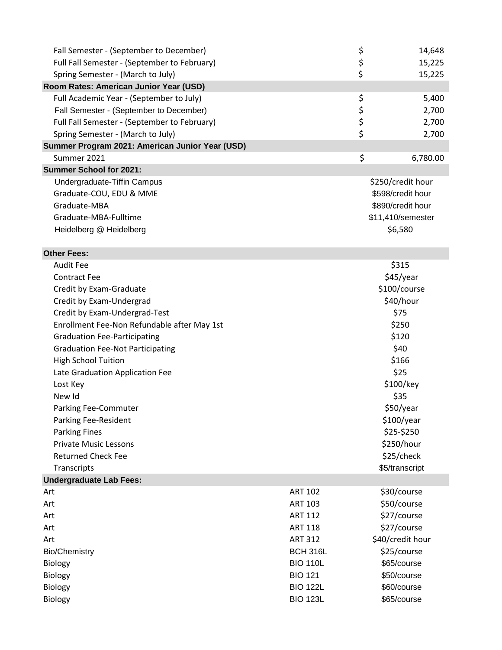| Fall Semester - (September to December)                                      |                 | \$             | 14,648                    |
|------------------------------------------------------------------------------|-----------------|----------------|---------------------------|
| Full Fall Semester - (September to February)                                 |                 | \$             | 15,225                    |
| Spring Semester - (March to July)                                            |                 | \$             | 15,225                    |
| Room Rates: American Junior Year (USD)                                       |                 |                |                           |
| Full Academic Year - (September to July)                                     |                 | \$             | 5,400                     |
| Fall Semester - (September to December)                                      |                 |                | 2,700                     |
| Full Fall Semester - (September to February)                                 |                 | \$<br>\$<br>\$ | 2,700                     |
| Spring Semester - (March to July)                                            |                 |                | 2,700                     |
| Summer Program 2021: American Junior Year (USD)                              |                 |                |                           |
| Summer 2021                                                                  |                 | \$             | 6,780.00                  |
| <b>Summer School for 2021:</b>                                               |                 |                |                           |
| Undergraduate-Tiffin Campus                                                  |                 |                | \$250/credit hour         |
| Graduate-COU, EDU & MME                                                      |                 |                | \$598/credit hour         |
| Graduate-MBA                                                                 |                 |                | \$890/credit hour         |
| Graduate-MBA-Fulltime                                                        |                 |                | \$11,410/semester         |
| Heidelberg @ Heidelberg                                                      |                 |                | \$6,580                   |
|                                                                              |                 |                |                           |
| <b>Other Fees:</b><br><b>Audit Fee</b>                                       |                 |                |                           |
| <b>Contract Fee</b>                                                          |                 |                | \$315                     |
|                                                                              |                 |                | \$45/year<br>\$100/course |
| Credit by Exam-Graduate                                                      |                 |                |                           |
| Credit by Exam-Undergrad                                                     |                 |                | \$40/hour<br>\$75         |
| Credit by Exam-Undergrad-Test<br>Enrollment Fee-Non Refundable after May 1st |                 |                | \$250                     |
|                                                                              |                 |                | \$120                     |
| <b>Graduation Fee-Participating</b>                                          |                 |                | \$40                      |
| <b>Graduation Fee-Not Participating</b><br><b>High School Tuition</b>        |                 |                | \$166                     |
|                                                                              |                 |                | \$25                      |
| Late Graduation Application Fee                                              |                 |                |                           |
| Lost Key<br>New Id                                                           |                 |                | \$100/key<br>\$35         |
| Parking Fee-Commuter                                                         |                 |                | \$50/year                 |
| <b>Parking Fee-Resident</b>                                                  |                 |                | \$100/year                |
| <b>Parking Fines</b>                                                         |                 |                | \$25-\$250                |
| <b>Private Music Lessons</b>                                                 |                 |                | \$250/hour                |
| <b>Returned Check Fee</b>                                                    |                 |                | \$25/check                |
| Transcripts                                                                  |                 |                | \$5/transcript            |
| <b>Undergraduate Lab Fees:</b>                                               |                 |                |                           |
| Art                                                                          | <b>ART 102</b>  |                | \$30/course               |
| Art                                                                          | <b>ART 103</b>  |                | \$50/course               |
| Art                                                                          | <b>ART 112</b>  |                | \$27/course               |
| Art                                                                          | <b>ART 118</b>  |                | \$27/course               |
| Art                                                                          | <b>ART 312</b>  |                | \$40/credit hour          |
| <b>Bio/Chemistry</b>                                                         | <b>BCH 316L</b> |                | \$25/course               |
| Biology                                                                      | <b>BIO 110L</b> |                | \$65/course               |
| <b>Biology</b>                                                               | <b>BIO 121</b>  |                | \$50/course               |
| Biology                                                                      | <b>BIO 122L</b> |                | \$60/course               |
| Biology                                                                      | <b>BIO 123L</b> |                | \$65/course               |
|                                                                              |                 |                |                           |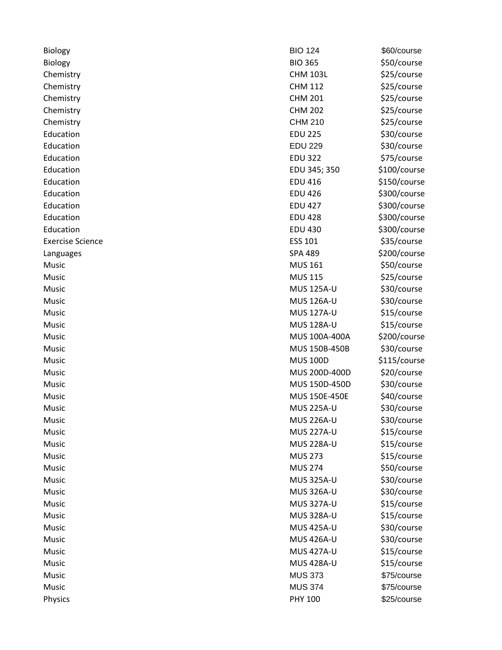| Biology                 |
|-------------------------|
| <b>Biology</b>          |
| Chemistry               |
| Chemistry               |
| Chemistry               |
| Chemistry               |
| Chemistry               |
| Education               |
| Education               |
| Education               |
| Education               |
| Education               |
| Education               |
| Education               |
| Education               |
| Education               |
| <b>Exercise Science</b> |
| Languages               |
| Music                   |
| Music                   |
| Music                   |
| Music                   |
| Music                   |
| Music                   |
| Music                   |
| Music                   |
| Music                   |
| Music                   |
| Music                   |
| Music                   |
| Music                   |
| Music                   |
| Music                   |
| Music                   |
| Music                   |
| Music                   |
| Music                   |
| Music                   |
| Music                   |
| Music                   |
| Music                   |
| Music                   |
| Music                   |
| Music                   |
| Music                   |
| Music                   |
|                         |

| Biology                 | <b>BIO 124</b>    | \$60/course  |
|-------------------------|-------------------|--------------|
| Biology                 | <b>BIO 365</b>    | \$50/course  |
| Chemistry               | <b>CHM 103L</b>   | \$25/course  |
| Chemistry               | <b>CHM 112</b>    | \$25/course  |
| Chemistry               | <b>CHM 201</b>    | \$25/course  |
| Chemistry               | <b>CHM 202</b>    | \$25/course  |
| Chemistry               | <b>CHM 210</b>    | \$25/course  |
| Education               | <b>EDU 225</b>    | \$30/course  |
| Education               | <b>EDU 229</b>    | \$30/course  |
| Education               | <b>EDU 322</b>    | \$75/course  |
| Education               | EDU 345; 350      | \$100/course |
| Education               | <b>EDU 416</b>    | \$150/course |
| Education               | <b>EDU 426</b>    | \$300/course |
| Education               | <b>EDU 427</b>    | \$300/course |
| Education               | <b>EDU 428</b>    | \$300/course |
| Education               | <b>EDU 430</b>    | \$300/course |
| <b>Exercise Science</b> | <b>ESS 101</b>    | \$35/course  |
| Languages               | <b>SPA 489</b>    | \$200/course |
| Music                   | <b>MUS 161</b>    | \$50/course  |
| Music                   | <b>MUS 115</b>    | \$25/course  |
| Music                   | <b>MUS 125A-U</b> | \$30/course  |
| Music                   | MUS 126A-U        | \$30/course  |
| Music                   | <b>MUS 127A-U</b> | \$15/course  |
| Music                   | <b>MUS 128A-U</b> | \$15/course  |
| Music                   | MUS 100A-400A     | \$200/course |
| Music                   | MUS 150B-450B     | \$30/course  |
| Music                   | <b>MUS 100D</b>   | \$115/course |
| Music                   | MUS 200D-400D     | \$20/course  |
| Music                   | MUS 150D-450D     | \$30/course  |
| Music                   | MUS 150E-450E     | \$40/course  |
| Music                   | <b>MUS 225A-U</b> | \$30/course  |
| Music                   | <b>MUS 226A-U</b> | \$30/course  |
| Music                   | <b>MUS 227A-U</b> | \$15/course  |
| Music                   | <b>MUS 228A-U</b> | \$15/course  |
| Music                   | <b>MUS 273</b>    | \$15/course  |
| Music                   | <b>MUS 274</b>    | \$50/course  |
| Music                   | <b>MUS 325A-U</b> | \$30/course  |
| Music                   | <b>MUS 326A-U</b> | \$30/course  |
| Music                   | <b>MUS 327A-U</b> | \$15/course  |
| Music                   | <b>MUS 328A-U</b> | \$15/course  |
| Music                   | <b>MUS 425A-U</b> | \$30/course  |
| Music                   | <b>MUS 426A-U</b> | \$30/course  |
| Music                   | <b>MUS 427A-U</b> | \$15/course  |
| Music                   | <b>MUS 428A-U</b> | \$15/course  |
| Music                   | <b>MUS 373</b>    | \$75/course  |
| Music                   | <b>MUS 374</b>    | \$75/course  |
| Physics                 | <b>PHY 100</b>    | \$25/course  |
|                         |                   |              |